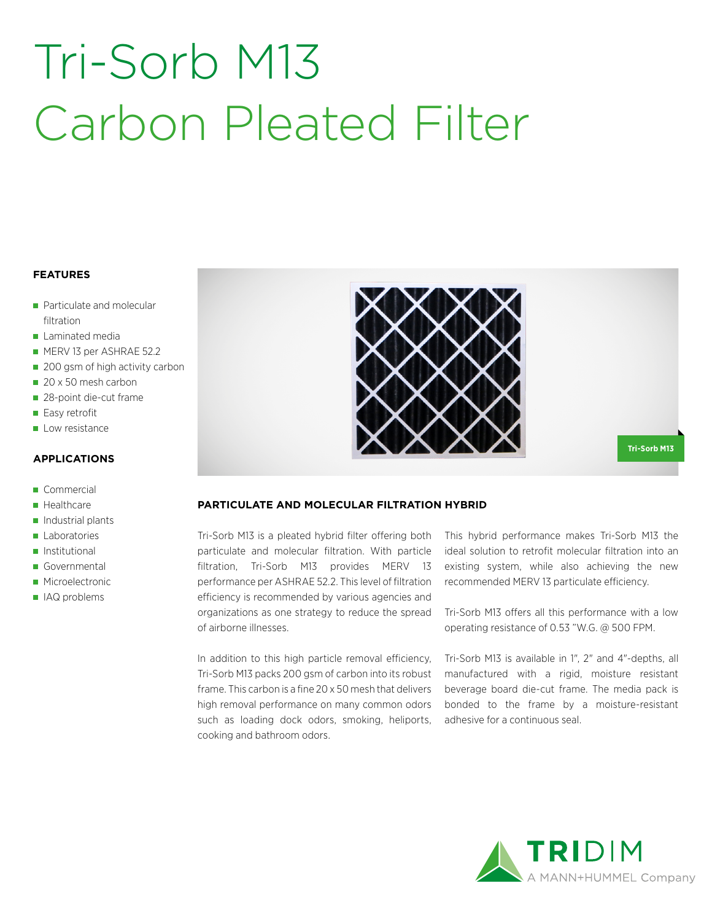# Tri-Sorb M13 Carbon Pleated Filter

#### **FEATURES**

- Particulate and molecular filtration
- **Laminated media**
- **MERV 13 per ASHRAE 52.2**
- 200 gsm of high activity carbon
- 20 x 50 mesh carbon
- 28-point die-cut frame
- Easy retrofit
- Low resistance

#### **APPLICATIONS**

- Commercial
- **Healthcare**
- $\blacksquare$  Industrial plants
- **Laboratories**
- **Institutional**
- Governmental
- **Microelectronic**
- IAQ problems



**Tri-Sorb M13**

### **PARTICULATE AND MOLECULAR FILTRATION HYBRID**

Tri-Sorb M13 is a pleated hybrid filter offering both particulate and molecular filtration. With particle filtration, Tri-Sorb M13 provides MERV 13 performance per ASHRAE 52.2. This level of filtration efficiency is recommended by various agencies and organizations as one strategy to reduce the spread of airborne illnesses.

In addition to this high particle removal efficiency, Tri-Sorb M13 packs 200 gsm of carbon into its robust frame. This carbon is a fine 20 x 50 mesh that delivers high removal performance on many common odors such as loading dock odors, smoking, heliports, cooking and bathroom odors.

This hybrid performance makes Tri-Sorb M13 the ideal solution to retrofit molecular filtration into an existing system, while also achieving the new recommended MERV 13 particulate efficiency.

Tri-Sorb M13 offers all this performance with a low operating resistance of 0.53 "W.G. @ 500 FPM.

Tri-Sorb M13 is available in 1", 2" and 4"-depths, all manufactured with a rigid, moisture resistant beverage board die-cut frame. The media pack is bonded to the frame by a moisture-resistant adhesive for a continuous seal.